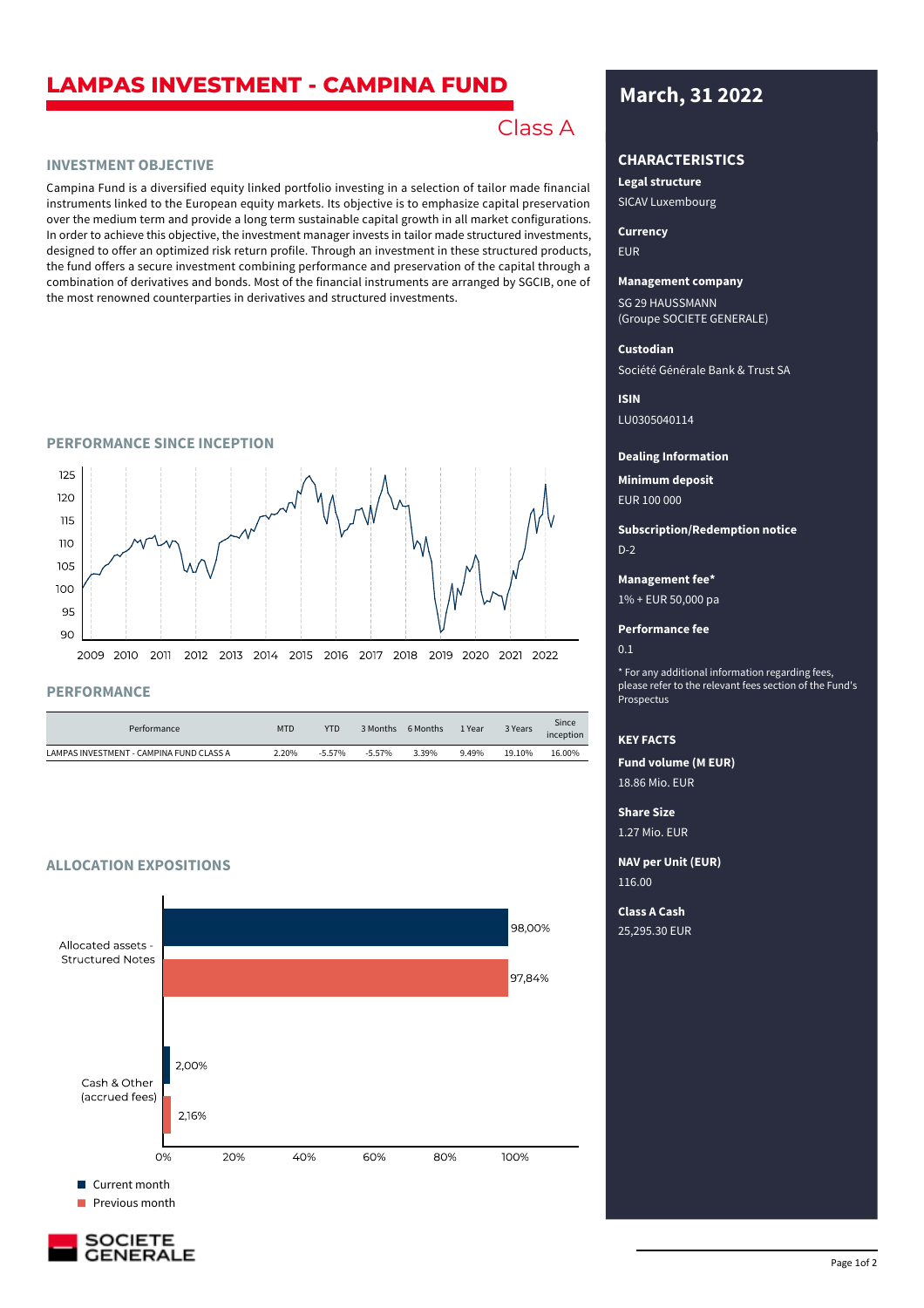# **LAMPAS INVESTMENT - CAMPINA FUND March, 31 2022**

# Class A **March, 31 2022**

# **INVESTMENT OBJECTIVE**

Campina Fund is a diversified equity linked portfolio investing in a selection of tailor made financial instruments linked to the European equity markets. Its objective is to emphasize capital preservation over the medium term and provide a long term sustainable capital growth in all market configurations. In order to achieve this objective, the investment manager invests in tailor made structured investments, designed to offer an optimized risk return profile. Through an investment in these structured products, the fund offers a secure investment combining performance and preservation of the capital through a combination of derivatives and bonds. Most of the financial instruments are arranged by SGCIB, one of the most renowned counterparties in derivatives and structured investments.

#### **PERFORMANCE SINCE INCEPTION**



# **PERFORMANCE**

| Performance                              | <b>MTD</b> | <b>YTD</b> | 3 Months | 6 Months | 1 Year | 3 Years | Since<br><i>inception</i> |
|------------------------------------------|------------|------------|----------|----------|--------|---------|---------------------------|
| LAMPAS INVESTMENT - CAMPINA FUND CLASS A | 2.20%      | $-5.57%$   | $-5.57%$ | 3.39%    | 9.49%  | 19.10%  | 16.00%                    |

# **ALLOCATION EXPOSITIONS**





# **CHARACTERISTICS**

SICAV Luxembourg **Legal structure**

EUR **Currency**

#### **Management company**

SG 29 HAUSSMANN (Groupe SOCIETE GENERALE)

### **Custodian**

Société Générale Bank & Trust SA

LU0305040114 **ISIN**

#### **Dealing Information**

EUR 100 000 **Minimum deposit**

D-2 **Subscription/Redemption notice**

#### **Management fee\***

1% + EUR 50,000 pa

### **Performance fee**

 $0.1$ 

\* For any additional information regarding fees, please refer to the relevant fees section of the Fund's Prospectus

## **KEY FACTS**

18.86 Mio. EUR **Fund volume (M EUR)**

1.27 Mio. EUR **Share Size**

**NAV per Unit (EUR)**

116.00

25,295.30 EUR **Class A Cash**